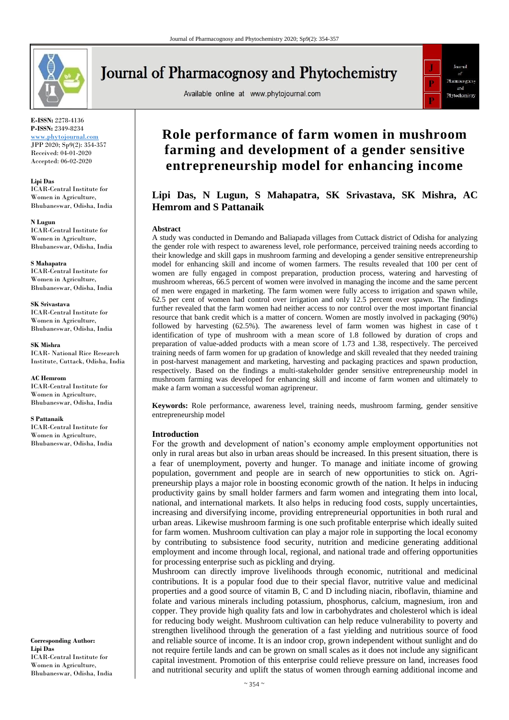

# **Journal of Pharmacognosy and Phytochemistry**

Available online at www.phytojournal.com



**E-ISSN:** 2278-4136 **P-ISSN:** 2349-8234 <www.phytojournal.com>

JPP 2020; Sp9(2): 354-357 Received: 04-01-2020 Accepted: 06-02-2020

**Lipi Das** ICAR-Central Institute for

Women in Agriculture, Bhubaneswar, Odisha, India

#### **N Lugun**

ICAR-Central Institute for Women in Agriculture, Bhubaneswar, Odisha, India

**S Mahapatra** ICAR-Central Institute for Women in Agriculture, Bhubaneswar, Odisha, India

**SK Srivastava** ICAR-Central Institute for Women in Agriculture, Bhubaneswar, Odisha, India

**SK Mishra** ICAR- National Rice Research Institute, Cuttack, Odisha, India

**AC Hemrom** ICAR-Central Institute for Women in Agriculture, Bhubaneswar, Odisha, India

#### **S Pattanaik**

ICAR-Central Institute for Women in Agriculture, Bhubaneswar, Odisha, India

**Corresponding Author: Lipi Das** ICAR-Central Institute for Women in Agriculture, Bhubaneswar, Odisha, India

# **Role performance of farm women in mushroom farming and development of a gender sensitive entrepreneurship model for enhancing income**

**Lipi Das, N Lugun, S Mahapatra, SK Srivastava, SK Mishra, AC Hemrom and S Pattanaik**

#### **Abstract**

A study was conducted in Demando and Baliapada villages from Cuttack district of Odisha for analyzing the gender role with respect to awareness level, role performance, perceived training needs according to their knowledge and skill gaps in mushroom farming and developing a gender sensitive entrepreneurship model for enhancing skill and income of women farmers. The results revealed that 100 per cent of women are fully engaged in compost preparation, production process, watering and harvesting of mushroom whereas, 66.5 percent of women were involved in managing the income and the same percent of men were engaged in marketing. The farm women were fully access to irrigation and spawn while, 62.5 per cent of women had control over irrigation and only 12.5 percent over spawn. The findings further revealed that the farm women had neither access to nor control over the most important financial resource that bank credit which is a matter of concern. Women are mostly involved in packaging (90%) followed by harvesting (62.5%). The awareness level of farm women was highest in case of t identification of type of mushroom with a mean score of 1.8 followed by duration of crops and preparation of value-added products with a mean score of 1.73 and 1.38, respectively. The perceived training needs of farm women for up gradation of knowledge and skill revealed that they needed training in post-harvest management and marketing, harvesting and packaging practices and spawn production, respectively. Based on the findings a multi-stakeholder gender sensitive entrepreneurship model in mushroom farming was developed for enhancing skill and income of farm women and ultimately to make a farm woman a successful woman agripreneur.

**Keywords:** Role performance, awareness level, training needs, mushroom farming, gender sensitive entrepreneurship model

#### **Introduction**

For the growth and development of nation's economy ample employment opportunities not only in rural areas but also in urban areas should be increased. In this present situation, there is a fear of unemployment, poverty and hunger. To manage and initiate income of growing population, government and people are in search of new opportunities to stick on. Agripreneurship plays a major role in boosting economic growth of the nation. It helps in inducing productivity gains by small holder farmers and farm women and integrating them into local, national, and international markets. It also helps in reducing food costs, supply uncertainties, increasing and diversifying income, providing entrepreneurial opportunities in both rural and urban areas. Likewise mushroom farming is one such profitable enterprise which ideally suited for farm women. Mushroom cultivation can play a major role in supporting the local economy by contributing to subsistence food security, nutrition and medicine generating additional employment and income through local, regional, and national trade and offering opportunities for processing enterprise such as pickling and drying.

Mushroom can directly improve livelihoods through economic, nutritional and medicinal contributions. It is a popular food due to their special flavor, nutritive value and medicinal properties and a good source of vitamin B, C and D including niacin, riboflavin, thiamine and folate and various minerals including potassium, phosphorus, calcium, magnesium, iron and copper. They provide high quality fats and low in carbohydrates and cholesterol which is ideal for reducing body weight. Mushroom cultivation can help reduce vulnerability to poverty and strengthen livelihood through the generation of a fast yielding and nutritious source of food and reliable source of income. It is an indoor crop, grown independent without sunlight and do not require fertile lands and can be grown on small scales as it does not include any significant capital investment. Promotion of this enterprise could relieve pressure on land, increases food and nutritional security and uplift the status of women through earning additional income and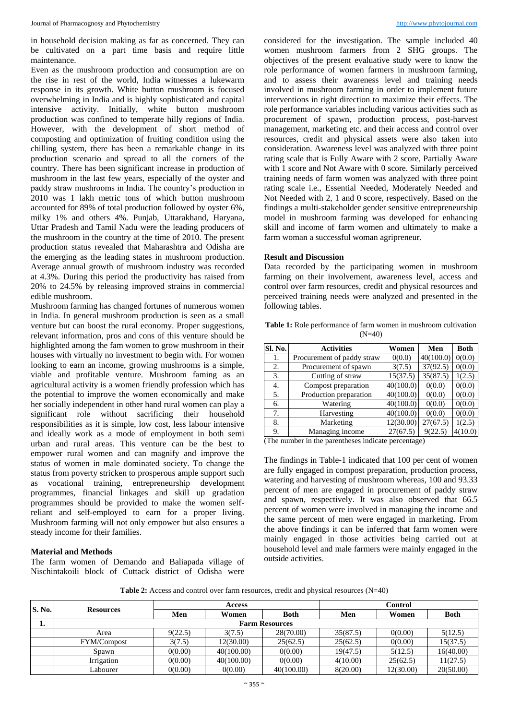in household decision making as far as concerned. They can be cultivated on a part time basis and require little maintenance.

Even as the mushroom production and consumption are on the rise in rest of the world, India witnesses a lukewarm response in its growth. White button mushroom is focused overwhelming in India and is highly sophisticated and capital intensive activity. Initially, white button mushroom production was confined to temperate hilly regions of India. However, with the development of short method of composting and optimization of fruiting condition using the chilling system, there has been a remarkable change in its production scenario and spread to all the corners of the country. There has been significant increase in production of mushroom in the last few years, especially of the oyster and paddy straw mushrooms in India. The country's production in 2010 was 1 lakh metric tons of which button mushroom accounted for 89% of total production followed by oyster 6%, milky 1% and others 4%. Punjab, Uttarakhand, Haryana, Uttar Pradesh and Tamil Nadu were the leading producers of the mushroom in the country at the time of 2010. The present production status revealed that Maharashtra and Odisha are the emerging as the leading states in mushroom production. Average annual growth of mushroom industry was recorded at 4.3%. During this period the productivity has raised from 20% to 24.5% by releasing improved strains in commercial edible mushroom.

Mushroom farming has changed fortunes of numerous women in India. In general mushroom production is seen as a small venture but can boost the rural economy. Proper suggestions, relevant information, pros and cons of this venture should be highlighted among the fam women to grow mushroom in their houses with virtually no investment to begin with. For women looking to earn an income, growing mushrooms is a simple, viable and profitable venture. Mushroom faming as an agricultural activity is a women friendly profession which has the potential to improve the women economically and make her socially independent in other hand rural women can play a significant role without sacrificing their household responsibilities as it is simple, low cost, less labour intensive and ideally work as a mode of employment in both semi urban and rural areas. This venture can be the best to empower rural women and can magnify and improve the status of women in male dominated society. To change the status from poverty stricken to prosperous ample support such as vocational training, entrepreneurship development programmes, financial linkages and skill up gradation programmes should be provided to make the women selfreliant and self-employed to earn for a proper living. Mushroom farming will not only empower but also ensures a steady income for their families.

### **Material and Methods**

The farm women of Demando and Baliapada village of Nischintakoili block of Cuttack district of Odisha were

considered for the investigation. The sample included 40 women mushroom farmers from 2 SHG groups. The objectives of the present evaluative study were to know the role performance of women farmers in mushroom farming, and to assess their awareness level and training needs involved in mushroom farming in order to implement future interventions in right direction to maximize their effects. The role performance variables including various activities such as procurement of spawn, production process, post-harvest management, marketing etc. and their access and control over resources, credit and physical assets were also taken into consideration. Awareness level was analyzed with three point rating scale that is Fully Aware with 2 score, Partially Aware with 1 score and Not Aware with 0 score. Similarly perceived training needs of farm women was analyzed with three point rating scale i.e., Essential Needed, Moderately Needed and Not Needed with 2, 1 and 0 score, respectively. Based on the findings a multi-stakeholder gender sensitive entrepreneurship model in mushroom farming was developed for enhancing skill and income of farm women and ultimately to make a farm woman a successful woman agripreneur.

## **Result and Discussion**

Data recorded by the participating women in mushroom farming on their involvement, awareness level, access and control over farm resources, credit and physical resources and perceived training needs were analyzed and presented in the following tables.

|          |  |  |  |  |  |  | <b>Table 1:</b> Role performance of farm women in mushroom cultivation |  |  |
|----------|--|--|--|--|--|--|------------------------------------------------------------------------|--|--|
| $(N=40)$ |  |  |  |  |  |  |                                                                        |  |  |

| Sl. No. | <b>Activities</b>          | Women     | Men       | <b>Both</b> |
|---------|----------------------------|-----------|-----------|-------------|
| 1.      | Procurement of paddy straw | 0(0.0)    | 40(100.0) | 0(0.0)      |
| 2.      | Procurement of spawn       | 3(7.5)    | 37(92.5)  | 0(0.0)      |
| 3.      | Cutting of straw           | 15(37.5)  | 35(87.5)  | 1(2.5)      |
| 4.      | Compost preparation        | 40(100.0) | 0(0.0)    | 0(0.0)      |
| 5.      | Production preparation     | 40(100.0) | 0(0.0)    | 0(0.0)      |
| 6.      | Watering                   | 40(100.0) | 0(0.0)    | 0(0.0)      |
| 7.      | Harvesting                 | 40(100.0) | 0(0.0)    | 0(0.0)      |
| 8.      | Marketing                  | 12(30.00) | 27(67.5)  | 1(2.5)      |
| 9.      | Managing income            | 27(67.5)  | 9(22.5)   | 4(10.0)     |

(The number in the parentheses indicate percentage)

The findings in Table-1 indicated that 100 per cent of women are fully engaged in compost preparation, production process, watering and harvesting of mushroom whereas, 100 and 93.33 percent of men are engaged in procurement of paddy straw and spawn, respectively. It was also observed that 66.5 percent of women were involved in managing the income and the same percent of men were engaged in marketing. From the above findings it can be inferred that farm women were mainly engaged in those activities being carried out at household level and male farmers were mainly engaged in the outside activities.

**Table 2:** Access and control over farm resources, credit and physical resources (N=40)

| <b>S. No.</b> |                    |                       | <b>Access</b> |             |          |           |             |  |  |  |  |
|---------------|--------------------|-----------------------|---------------|-------------|----------|-----------|-------------|--|--|--|--|
|               | <b>Resources</b>   | Men                   | Women         | <b>Both</b> | Men      | Women     | <b>Both</b> |  |  |  |  |
| ı.            |                    | <b>Farm Resources</b> |               |             |          |           |             |  |  |  |  |
|               | Area               | 9(22.5)               | 3(7.5)        | 28(70.00)   | 35(87.5) | 0(0.00)   | 5(12.5)     |  |  |  |  |
|               | <b>FYM/Compost</b> | 3(7.5)                | 12(30.00)     | 25(62.5)    | 25(62.5) | 0(0.00)   | 15(37.5)    |  |  |  |  |
|               | Spawn              | 0(0.00)               | 40(100.00)    | 0(0.00)     | 19(47.5) | 5(12.5)   | 16(40.00)   |  |  |  |  |
|               | Irrigation         | 0(0.00)               | 40(100.00)    | 0(0.00)     | 4(10.00) | 25(62.5)  | 11(27.5)    |  |  |  |  |
|               | Labourer           | 0(0.00)               | 0(0.00)       | 40(100.00)  | 8(20.00) | 12(30.00) | 20(50.00)   |  |  |  |  |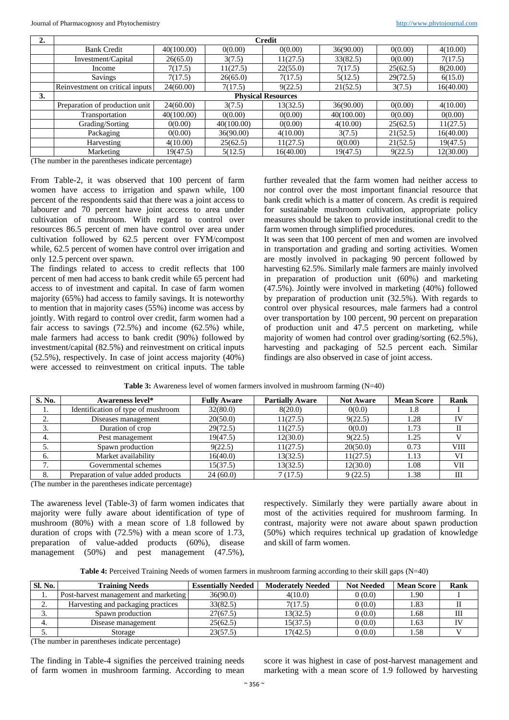| z. | <b>Credit</b>                   |            |            |           |            |          |           |  |  |  |
|----|---------------------------------|------------|------------|-----------|------------|----------|-----------|--|--|--|
|    | <b>Bank Credit</b>              | 40(100.00) | 0(0.00)    | 0(0.00)   | 36(90.00)  | 0(0.00)  | 4(10.00)  |  |  |  |
|    | Investment/Capital              | 26(65.0)   | 3(7.5)     | 11(27.5)  | 33(82.5)   | 0(0.00)  | 7(17.5)   |  |  |  |
|    | Income                          | 7(17.5)    | 11(27.5)   | 22(55.0)  | 7(17.5)    | 25(62.5) | 8(20.00)  |  |  |  |
|    | Savings                         | 7(17.5)    | 26(65.0)   | 7(17.5)   | 5(12.5)    | 29(72.5) | 6(15.0)   |  |  |  |
|    | Reinvestment on critical inputs | 24(60.00)  | 7(17.5)    | 9(22.5)   | 21(52.5)   | 3(7.5)   | 16(40.00) |  |  |  |
| 3. | <b>Physical Resources</b>       |            |            |           |            |          |           |  |  |  |
|    | Preparation of production unit  | 24(60.00)  | 3(7.5)     | 13(32.5)  | 36(90.00)  | 0(0.00)  | 4(10.00)  |  |  |  |
|    | Transportation                  | 40(100.00) | 0(0.00)    | 0(0.00)   | 40(100.00) | 0(0.00)  | 0(0.00)   |  |  |  |
|    | Grading/Sorting                 | 0(0.00)    | 40(100.00) | 0(0.00)   | 4(10.00)   | 25(62.5) | 11(27.5)  |  |  |  |
|    | Packaging                       | 0(0.00)    | 36(90.00)  | 4(10.00)  | 3(7.5)     | 21(52.5) | 16(40.00) |  |  |  |
|    | Harvesting                      | 4(10.00)   | 25(62.5)   | 11(27.5)  | 0(0.00)    | 21(52.5) | 19(47.5)  |  |  |  |
|    | Marketing                       | 19(47.5)   | 5(12.5)    | 16(40.00) | 19(47.5)   | 9(22.5)  | 12(30.00) |  |  |  |

(The number in the parentheses indicate percentage)

From Table-2, it was observed that 100 percent of farm women have access to irrigation and spawn while, 100 percent of the respondents said that there was a joint access to labourer and 70 percent have joint access to area under cultivation of mushroom. With regard to control over resources 86.5 percent of men have control over area under cultivation followed by 62.5 percent over FYM/compost while, 62.5 percent of women have control over irrigation and only 12.5 percent over spawn.

The findings related to access to credit reflects that 100 percent of men had access to bank credit while 65 percent had access to of investment and capital. In case of farm women majority (65%) had access to family savings. It is noteworthy to mention that in majority cases (55%) income was access by jointly. With regard to control over credit, farm women had a fair access to savings (72.5%) and income (62.5%) while, male farmers had access to bank credit (90%) followed by investment/capital (82.5%) and reinvestment on critical inputs (52.5%), respectively. In case of joint access majority (40%) were accessed to reinvestment on critical inputs. The table

further revealed that the farm women had neither access to nor control over the most important financial resource that bank credit which is a matter of concern. As credit is required for sustainable mushroom cultivation, appropriate policy measures should be taken to provide institutional credit to the farm women through simplified procedures.

It was seen that 100 percent of men and women are involved in transportation and grading and sorting activities. Women are mostly involved in packaging 90 percent followed by harvesting 62.5%. Similarly male farmers are mainly involved in preparation of production unit (60%) and marketing (47.5%). Jointly were involved in marketing (40%) followed by preparation of production unit (32.5%). With regards to control over physical resources, male farmers had a control over transportation by 100 percent, 90 percent on preparation of production unit and 47.5 percent on marketing, while majority of women had control over grading/sorting (62.5%), harvesting and packaging of 52.5 percent each. Similar findings are also observed in case of joint access.

| S. No.                                   | Awareness level*                    | <b>Fully Aware</b> | <b>Partially Aware</b> | <b>Not Aware</b> | <b>Mean Score</b> | <b>Rank</b> |
|------------------------------------------|-------------------------------------|--------------------|------------------------|------------------|-------------------|-------------|
| 1.                                       | Identification of type of mushroom  | 32(80.0)           | 8(20.0)                | 0(0.0)           | 1.8               |             |
| Ź.                                       | Diseases management                 | 20(50.0)           | 11(27.5)               | 9(22.5)          | 1.28              | IV          |
| 3.                                       | Duration of crop                    | 29(72.5)           | 11(27.5)               | 0(0.0)           | 1.73              |             |
| 4.                                       | Pest management                     | 19(47.5)           | 12(30.0)               | 9(22.5)          | 1.25              |             |
| 5.                                       | Spawn production                    | 9(22.5)            | 11(27.5)               | 20(50.0)         | 0.73              | VIII        |
| 6.                                       | Market availability                 | 16(40.0)           | 13(32.5)               | 11(27.5)         | 1.13              | VI          |
| $\mathbf{r}$<br>$\overline{\phantom{a}}$ | Governmental schemes                | 15(37.5)           | 13(32.5)               | 12(30.0)         | 1.08              | VII         |
| 8.                                       | Preparation of value added products | 24(60.0)           | 7(17.5)                | 9(22.5)          | 1.38              | Ш           |

**Table 3:** Awareness level of women farmers involved in mushroom farming (N=40)

(The number in the parentheses indicate percentage)

The awareness level (Table-3) of farm women indicates that majority were fully aware about identification of type of mushroom (80%) with a mean score of 1.8 followed by duration of crops with (72.5%) with a mean score of 1.73, preparation of value-added products (60%), disease management (50%) and pest management (47.5%),

respectively. Similarly they were partially aware about in most of the activities required for mushroom farming. In contrast, majority were not aware about spawn production (50%) which requires technical up gradation of knowledge and skill of farm women.

|  |  | Table 4: Perceived Training Needs of women farmers in mushroom farming according to their skill gaps (N=40) |
|--|--|-------------------------------------------------------------------------------------------------------------|
|  |  |                                                                                                             |

| <b>Sl. No.</b> | <b>Training Needs</b>                 | <b>Essentially Needed</b> | <b>Moderately Needed</b> | <b>Not Needed</b> | <b>Mean Score</b> | Rank |
|----------------|---------------------------------------|---------------------------|--------------------------|-------------------|-------------------|------|
|                | Post-harvest management and marketing | 36(90.0)                  | 4(10.0)                  | 0(0.0)            | 1.90              |      |
| ٠.             | Harvesting and packaging practices    | 33(82.5)                  | 7(17.5)                  | 0(0.0)            | 1.83              |      |
| J.             | Spawn production                      | 27(67.5)                  | 13(32.5)                 | 0(0.0)            | 1.68              | Ш    |
|                | Disease management                    | 25(62.5)                  | 15(37.5)                 | 0(0.0)            | 1.63              |      |
| J.             | Storage                               | 23(57.5)                  | 17(42.5)                 | 0(0.0)            | 1.58              |      |

(The number in parentheses indicate percentage)

The finding in Table-4 signifies the perceived training needs of farm women in mushroom farming. According to mean

score it was highest in case of post-harvest management and marketing with a mean score of 1.9 followed by harvesting